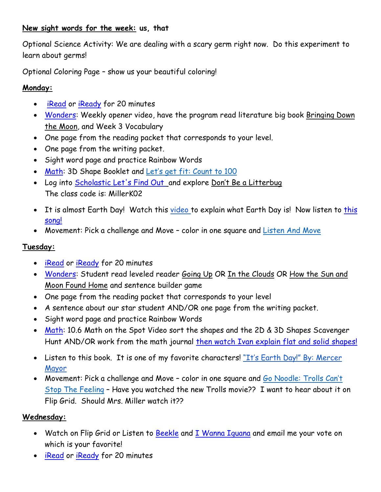### **New sight words for the week: us, that**

Optional Science Activity: We are dealing with a scary germ right now. Do this experiment to learn about germs!

Optional Coloring Page – show us your beautiful coloring!

### **Monday:**

- **[iRead](https://idp-awsprod1.education.scholastic.com/idp/) or [iReady](https://login.i-ready.com/)** for 20 minutes
- [Wonders:](https://connected.mcgraw-hill.com/connected/pictorialLoginSchool.do?code=e0t1) Weekly opener video, have the program read literature big book Bringing Down the Moon, and Week 3 Vocabulary
- One page from the reading packet that corresponds to your level.
- One page from the writing packet.
- Sight word page and practice Rainbow Words
- [Math:](https://www-k6.thinkcentral.com/ePC/start.do) 3D Shape Booklet and Let's get fit: [Count](https://www.bing.com/videos/search?q=jack+hartman+lets+get+fit&docid=608029332761346969&mid=B38E5F46CBAFFCF7B5C1B38E5F46CBAFFCF7B5C1&view=detail&FORM=VIRE) to 100
- Log into [Scholastic Let's Find Out](https://digital.scholastic.com/resources/classpasscode/?app=letsfindout&state=%2Fhome-page-logged-out.html&role=classroom) and explore Don't Be a Litterbug The class code is: MillerK02
- It is almost Earth Day! Watch this [video](https://www.youtube.com/watch?v=g0OwMIlrVwA&frags=pl%2Cwn) to explain what Earth Day is! Now listen to [this](https://www.youtube.com/watch?v=DyhbovE5lrk) [song!](https://www.youtube.com/watch?v=DyhbovE5lrk)
- Movement: Pick a challenge and Move color in one square and [Listen](https://www.bing.com/videos/search?q=listen+and+move&view=detail&mid=2F3D9525ADD6E28CF9672F3D9525ADD6E28CF967&FORM=VIRE0&ru=%2fsearch%3fq%3dlisten%2band%2bmove%26form%3dEDGEAR%26qs%3dPF%26cvid%3d0c7cbfb1d7114bc480bf520ddd82419e%26cc%3dUS%26setlang%3den-US%26plvar%3d0) And Move

# **Tuesday:**

- [iRead](https://idp-awsprod1.education.scholastic.com/idp/) or [iReady](https://login.i-ready.com/) for 20 minutes
- [Wonders:](https://connected.mcgraw-hill.com/connected/pictorialLoginSchool.do?code=e0t1) Student read leveled reader Going Up OR In the Clouds OR How the Sun and Moon Found Home and sentence builder game
- One page from the reading packet that corresponds to your level
- A sentence about our star student AND/OR one page from the writing packet.
- Sight word page and practice Rainbow Words
- [Math:](https://www-k6.thinkcentral.com/ePC/start.do) 10.6 Math on the Spot Video sort the shapes and the 2D & 3D Shapes Scavenger Hunt AND/OR work from the math journal then watch Ivan explain flat and solid [shapes!](https://youtu.be/llgKJqudr0I)
- Listen to this book. It is one of my favorite characters! "It's Earth Day!" By: [Mercer](https://www.youtube.com/watch?v=Pi8Kae6KRws&frags=pl%2Cwn) [Mayor](https://www.youtube.com/watch?v=Pi8Kae6KRws&frags=pl%2Cwn)
- Movement: Pick a challenge and Move color in one square and Go [Noodle:](https://www.bing.com/videos/search?q=trolls+go+noodle&view=detail&mid=F6EE072570B255661E36F6EE072570B255661E36&FORM=VIRE0&ru=%2fsearch%3fq%3dtrolls%2bgo%2bnoodle%26form%3dEDGEAR%26qs%3dPF%26cvid%3dcea45e3ecb7d442ea9060e646f309404%26cc%3dUS%26setlang%3den-US%26plvar%3d0) Trolls Can't Stop The [Feeling](https://www.bing.com/videos/search?q=trolls+go+noodle&view=detail&mid=F6EE072570B255661E36F6EE072570B255661E36&FORM=VIRE0&ru=%2fsearch%3fq%3dtrolls%2bgo%2bnoodle%26form%3dEDGEAR%26qs%3dPF%26cvid%3dcea45e3ecb7d442ea9060e646f309404%26cc%3dUS%26setlang%3den-US%26plvar%3d0) – Have you watched the new Trolls movie?? I want to hear about it on Flip Grid. Should Mrs. Miller watch it??

## **Wednesday:**

- Watch on Flip Grid or Listen to [Beekle](https://video.search.yahoo.com/search/video?fr=mcafee&p=The+Adventures+of+Beekle%3A+The+Unimaginary+Friend+-+Read+Aloud+Stories+for+Kids#id=1&vid=d491a7d6281ca33c14670b6edce86510&action=click) and [I Wanna Iguana](https://www.youtube.com/watch?v=NZWvhcG7zeo) and email me your vote on which is your favorite!
- [iRead](https://idp-awsprod1.education.scholastic.com/idp/) or [iReady](https://login.i-ready.com/) for 20 minutes